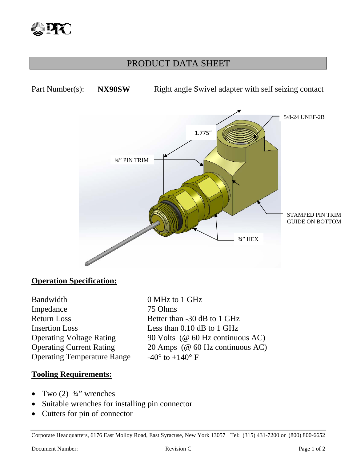## PRODUCT DATA SHEET



### **Operation Specification:**

Bandwidth 0 MHz to 1 GHz Impedance 75 Ohms Return Loss Better than -30 dB to 1 GHz Insertion Loss Less than 0.10 dB to 1 GHz Operating Temperature Range  $-40^\circ$  to  $+140^\circ$  F

Operating Voltage Rating 90 Volts (@ 60 Hz continuous AC) Operating Current Rating 20 Amps (@ 60 Hz continuous AC)

#### **Tooling Requirements:**

- Two  $(2)$   $\frac{3}{4}$ " wrenches
- Suitable wrenches for installing pin connector
- Cutters for pin of connector

Corporate Headquarters, 6176 East Molloy Road, East Syracuse, New York 13057 Tel: (315) 431-7200 or (800) 800-6652